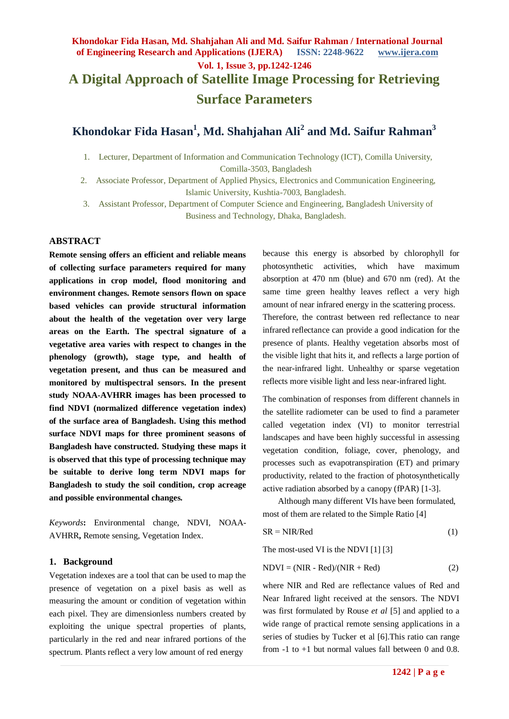# **Khondokar Fida Hasan<sup>1</sup> , Md. Shahjahan Ali<sup>2</sup> and Md. Saifur Rahman<sup>3</sup>**

- 1. Lecturer, Department of Information and Communication Technology (ICT), Comilla University, Comilla-3503, Bangladesh
- 2. Associate Professor, Department of Applied Physics, Electronics and Communication Engineering, Islamic University, Kushtia-7003, Bangladesh.
- 3. Assistant Professor, Department of Computer Science and Engineering, Bangladesh University of Business and Technology, Dhaka, Bangladesh.

## **ABSTRACT**

**Remote sensing offers an efficient and reliable means of collecting surface parameters required for many applications in crop model, flood monitoring and environment changes. Remote sensors flown on space based vehicles can provide structural information about the health of the vegetation over very large areas on the Earth. The spectral signature of a vegetative area varies with respect to changes in the phenology (growth), stage type, and health of vegetation present, and thus can be measured and monitored by multispectral sensors. In the present study NOAA-AVHRR images has been processed to find NDVI (normalized difference vegetation index) of the surface area of Bangladesh. Using this method surface NDVI maps for three prominent seasons of Bangladesh have constructed. Studying these maps it is observed that this type of processing technique may be suitable to derive long term NDVI maps for Bangladesh to study the soil condition, crop acreage and possible environmental changes.** 

*Keywords***:** Environmental change, NDVI, NOAA-AVHRR**,** Remote sensing, Vegetation Index.

### **1. Background**

Vegetation indexes are a tool that can be used to map the presence of vegetation on a pixel basis as well as measuring the amount or condition of vegetation within each pixel. They are dimensionless numbers created by exploiting the unique spectral properties of plants, particularly in the red and near infrared portions of the spectrum. Plants reflect a very low amount of red energy

because this energy is absorbed by chlorophyll for photosynthetic activities, which have maximum absorption at 470 nm (blue) and 670 nm (red). At the same time green healthy leaves reflect a very high amount of near infrared energy in the scattering process. Therefore, the contrast between red reflectance to near infrared reflectance can provide a good indication for the presence of plants. Healthy vegetation absorbs most of the visible light that hits it, and reflects a large portion of the near-infrared light. Unhealthy or sparse vegetation reflects more visible light and less near-infrared light.

The combination of responses from different channels in the satellite radiometer can be used to find a parameter called vegetation index (VI) to monitor terrestrial landscapes and have been highly successful in assessing vegetation condition, foliage, cover, phenology, and processes such as evapotranspiration (ET) and primary productivity, related to the fraction of photosynthetically active radiation absorbed by a canopy (fPAR) [1-3].

Although many different VIs have been formulated, most of them are related to the Simple Ratio [4]

$$
SR = NIR/Red
$$
 (1)

The most-used VI is the NDVI [1] [3]

$$
NDVI = (NIR - Red)/(NIR + Red)
$$
 (2)

where NIR and Red are reflectance values of Red and Near Infrared light received at the sensors. The NDVI was first formulated by Rouse *et al* [5] and applied to a wide range of practical remote sensing applications in a series of studies by Tucker et al [6].This ratio can range from  $-1$  to  $+1$  but normal values fall between 0 and 0.8.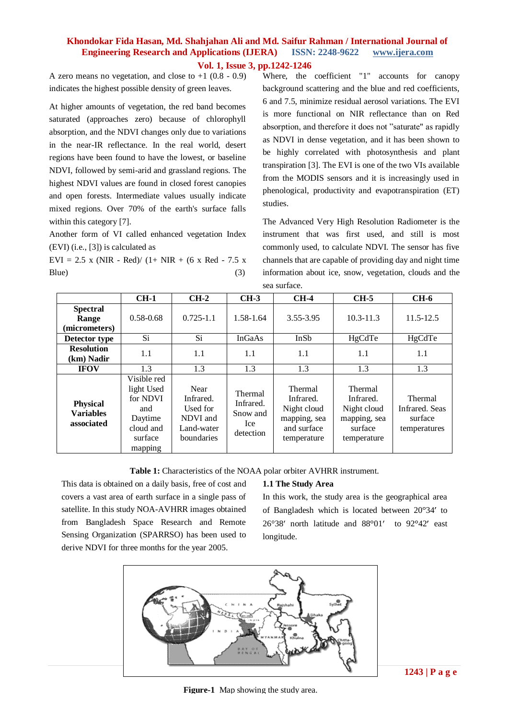# **Khondokar Fida Hasan, Md. Shahjahan Ali and Md. Saifur Rahman / International Journal of Engineering Research and Applications (IJERA) ISSN: 2248-9622 www.ijera.com**

**Vol. 1, Issue 3, pp.1242-1246**

A zero means no vegetation, and close to  $+1$  (0.8 - 0.9) indicates the highest possible density of green leaves.

At higher amounts of vegetation, the red band becomes saturated (approaches zero) because of chlorophyll absorption, and the NDVI changes only due to variations in the near-IR reflectance. In the real world, desert regions have been found to have the lowest, or baseline NDVI, followed by semi-arid and grassland regions. The highest NDVI values are found in closed forest canopies and open forests. Intermediate values usually indicate mixed regions. Over 70% of the earth's surface falls within this category [7].

Another form of VI called enhanced vegetation Index (EVI) (i.e., [3]) is calculated as

EVI = 2.5 x (NIR - Red)/  $(1+ NIR + (6 x Red - 7.5 x$  $Blue)$  (3)

Where, the coefficient "1" accounts for canopy background scattering and the blue and red coefficients, 6 and 7.5, minimize residual aerosol variations. The EVI is more functional on NIR reflectance than on Red absorption, and therefore it does not "saturate" as rapidly as NDVI in dense vegetation, and it has been shown to be highly correlated with photosynthesis and plant transpiration [3]. The EVI is one of the two VIs available from the MODIS sensors and it is increasingly used in phenological, productivity and evapotranspiration (ET) studies.

The Advanced Very High Resolution Radiometer is the instrument that was first used, and still is most commonly used, to calculate NDVI. The sensor has five channels that are capable of providing day and night time information about ice, snow, vegetation, clouds and the sea surface.

|                                                   | $CH-1$                                                                                     | $CH-2$                                                                | $CH-3$                                               | $CH-4$                                                                            | $CH-5$                                                                               | <b>CH-6</b>                                          |
|---------------------------------------------------|--------------------------------------------------------------------------------------------|-----------------------------------------------------------------------|------------------------------------------------------|-----------------------------------------------------------------------------------|--------------------------------------------------------------------------------------|------------------------------------------------------|
| <b>Spectral</b><br>Range<br>(micrometers)         | $0.58 - 0.68$                                                                              | $0.725 - 1.1$                                                         | 1.58-1.64                                            | 3.55-3.95                                                                         | $10.3 - 11.3$                                                                        | $11.5 - 12.5$                                        |
| Detector type                                     | Si                                                                                         | Si                                                                    | <b>InGaAs</b>                                        | InSb                                                                              | HgCdTe                                                                               | HgCdTe                                               |
| <b>Resolution</b><br>(km) Nadir                   | 1.1                                                                                        | 1.1                                                                   | 1.1                                                  | 1.1                                                                               | 1.1                                                                                  | 1.1                                                  |
| <b>IFOV</b>                                       | 1.3                                                                                        | 1.3                                                                   | 1.3                                                  | 1.3                                                                               | 1.3                                                                                  | 1.3                                                  |
| <b>Physical</b><br><b>Variables</b><br>associated | Visible red<br>light Used<br>for NDVI<br>and<br>Daytime<br>cloud and<br>surface<br>mapping | Near<br>Infrared.<br>Used for<br>NDVI and<br>Land-water<br>boundaries | Thermal<br>Infrared.<br>Snow and<br>Ice<br>detection | Thermal<br>Infrared.<br>Night cloud<br>mapping, sea<br>and surface<br>temperature | <b>Thermal</b><br>Infrared.<br>Night cloud<br>mapping, sea<br>surface<br>temperature | Thermal<br>Infrared. Seas<br>surface<br>temperatures |

**Table 1:** Characteristics of the NOAA polar orbiter AVHRR instrument.

This data is obtained on a daily basis, free of cost and covers a vast area of earth surface in a single pass of satellite. In this study NOA-AVHRR images obtained from Bangladesh Space Research and Remote Sensing Organization (SPARRSO) has been used to derive NDVI for three months for the year 2005.

### **1.1 The Study Area**

In this work, the study area is the geographical area of Bangladesh which is located between  $20^{\circ}34'$  to  $26^{\circ}38'$  north latitude and  $88^{\circ}01'$  to  $92^{\circ}42'$  east longitude.



**1243 | P a g e**

**Figure-1** Map showing the study area.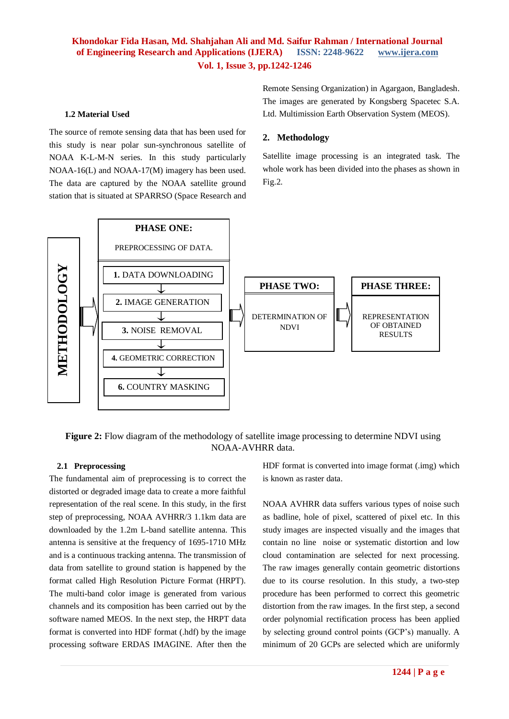## **Khondokar Fida Hasan, Md. Shahjahan Ali and Md. Saifur Rahman / International Journal of Engineering Research and Applications (IJERA) ISSN: 2248-9622 www.ijera.com Vol. 1, Issue 3, pp.1242-1246**

#### **1.2 Material Used**

The source of remote sensing data that has been used for this study is near polar sun-synchronous satellite of NOAA K-L-M-N series. In this study particularly NOAA-16(L) and NOAA-17(M) imagery has been used. The data are captured by the NOAA satellite ground station that is situated at SPARRSO (Space Research and

Remote Sensing Organization) in Agargaon, Bangladesh. The images are generated by Kongsberg Spacetec S.A. Ltd. Multimission Earth Observation System (MEOS).

### **2. Methodology**

Satellite image processing is an integrated task. The whole work has been divided into the phases as shown in Fig.2.



**Figure 2:** Flow diagram of the methodology of satellite image processing to determine NDVI using NOAA-AVHRR data.

## **2.1 Preprocessing**

The fundamental aim of preprocessing is to correct the distorted or degraded image data to create a more faithful representation of the real scene. In this study, in the first step of preprocessing, NOAA AVHRR/3 1.1km data are downloaded by the 1.2m L-band satellite antenna. This antenna is sensitive at the frequency of 1695-1710 MHz and is a continuous tracking antenna. The transmission of data from satellite to ground station is happened by the format called High Resolution Picture Format (HRPT). The multi-band color image is generated from various channels and its composition has been carried out by the software named MEOS. In the next step, the HRPT data format is converted into HDF format (.hdf) by the image processing software ERDAS IMAGINE. After then the HDF format is converted into image format (.img) which is known as raster data.

NOAA AVHRR data suffers various types of noise such as badline, hole of pixel, scattered of pixel etc. In this study images are inspected visually and the images that contain no line noise or systematic distortion and low cloud contamination are selected for next processing. The raw images generally contain geometric distortions due to its course resolution. In this study, a two-step procedure has been performed to correct this geometric distortion from the raw images. In the first step, a second order polynomial rectification process has been applied by selecting ground control points (GCP's) manually. A minimum of 20 GCPs are selected which are uniformly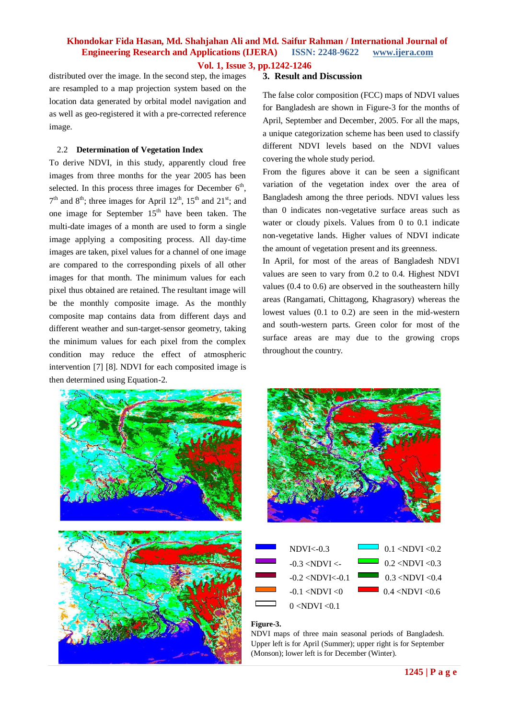# **Khondokar Fida Hasan, Md. Shahjahan Ali and Md. Saifur Rahman / International Journal of Engineering Research and Applications (IJERA) ISSN: 2248-9622 www.ijera.com**

## **Vol. 1, Issue 3, pp.1242-1246**

distributed over the image. In the second step, the images are resampled to a map projection system based on the location data generated by orbital model navigation and as well as geo-registered it with a pre-corrected reference image.

## 2.2 **Determination of Vegetation Index**

To derive NDVI, in this study, apparently cloud free images from three months for the year 2005 has been selected. In this process three images for December  $6<sup>th</sup>$ ,  $7<sup>th</sup>$  and  $8<sup>th</sup>$ ; three images for April  $12<sup>th</sup>$ ,  $15<sup>th</sup>$  and  $21<sup>st</sup>$ ; and one image for September  $15<sup>th</sup>$  have been taken. The multi-date images of a month are used to form a single image applying a compositing process. All day-time images are taken, pixel values for a channel of one image are compared to the corresponding pixels of all other images for that month. The minimum values for each pixel thus obtained are retained. The resultant image will be the monthly composite image. As the monthly composite map contains data from different days and different weather and sun-target-sensor geometry, taking the minimum values for each pixel from the complex condition may reduce the effect of atmospheric intervention [7] [8]. NDVI for each composited image is then determined using Equation-2.

### **3. Result and Discussion**

The false color composition (FCC) maps of NDVI values for Bangladesh are shown in Figure-3 for the months of April, September and December, 2005. For all the maps, a unique categorization scheme has been used to classify different NDVI levels based on the NDVI values covering the whole study period.

From the figures above it can be seen a significant variation of the vegetation index over the area of Bangladesh among the three periods. NDVI values less than 0 indicates non-vegetative surface areas such as water or cloudy pixels. Values from 0 to 0.1 indicate non-vegetative lands. Higher values of NDVI indicate the amount of vegetation present and its greenness.

In April, for most of the areas of Bangladesh NDVI values are seen to vary from 0.2 to 0.4. Highest NDVI values (0.4 to 0.6) are observed in the southeastern hilly areas (Rangamati, Chittagong, Khagrasory) whereas the lowest values (0.1 to 0.2) are seen in the mid-western and south-western parts. Green color for most of the surface areas are may due to the growing crops throughout the country.





| $NDVI < -0.3$                                                 | $\sim$ 0.1 <ndvi <0.2<="" th=""></ndvi> |
|---------------------------------------------------------------|-----------------------------------------|
| $-0.3 < NDVI < -$                                             | $\sim$ 0.2 <ndvi <0.3<="" th=""></ndvi> |
| $-0.2 < NDVK - 0.1$ 0.3 <ndvi <0.4<="" th=""><th></th></ndvi> |                                         |
| $-0.1 < NDVI < 0$ 0.4 < NDVI < 0.6                            |                                         |
| 0 < NDVI < 0.1                                                |                                         |

### **Figure-3.**

NDVI maps of three main seasonal periods of Bangladesh. Upper left is for April (Summer); upper right is for September (Monson); lower left is for December (Winter).